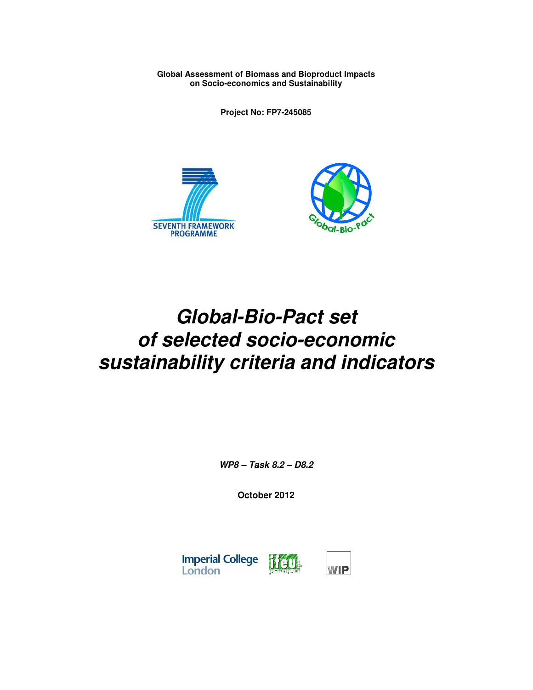**Global Assessment of Biomass and Bioproduct Impacts on Socio-economics and Sustainability** 

**Project No: FP7-245085** 





# **Global-Bio-Pact set of selected socio-economic sustainability criteria and indicators**

**WP8 – Task 8.2 – D8.2** 

**October 2012** 

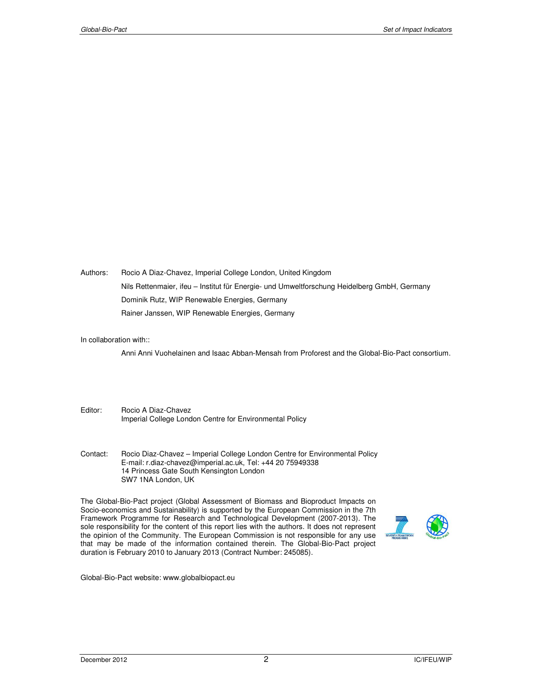Authors: Rocio A Diaz-Chavez, Imperial College London, United Kingdom Nils Rettenmaier, ifeu – Institut für Energie- und Umweltforschung Heidelberg GmbH, Germany Dominik Rutz, WIP Renewable Energies, Germany Rainer Janssen, WIP Renewable Energies, Germany

#### In collaboration with::

Anni Anni Vuohelainen and Isaac Abban-Mensah from Proforest and the Global-Bio-Pact consortium.

- Editor: Rocio A Diaz-Chavez Imperial College London Centre for Environmental Policy
- Contact: Rocio Diaz-Chavez Imperial College London Centre for Environmental Policy E-mail: r.diaz-chavez@imperial.ac.uk, Tel: +44 20 75949338 14 Princess Gate South Kensington London SW7 1NA London, UK

The Global-Bio-Pact project (Global Assessment of Biomass and Bioproduct Impacts on Socio-economics and Sustainability) is supported by the European Commission in the 7th Framework Programme for Research and Technological Development (2007-2013). The sole responsibility for the content of this report lies with the authors. It does not represent the opinion of the Community. The European Commission is not responsible for any use that may be made of the information contained therein. The Global-Bio-Pact project duration is February 2010 to January 2013 (Contract Number: 245085).



Global-Bio-Pact website: www.globalbiopact.eu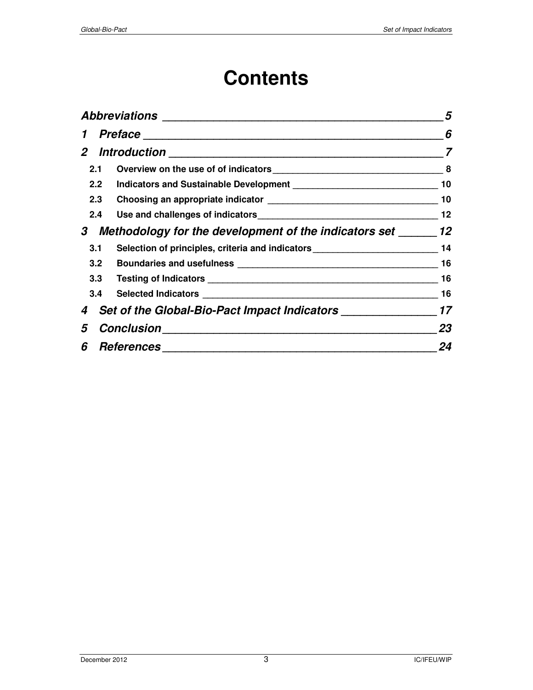# **Contents**

| 5                                                                                                                                                                                                                                                                       |
|-------------------------------------------------------------------------------------------------------------------------------------------------------------------------------------------------------------------------------------------------------------------------|
| 6                                                                                                                                                                                                                                                                       |
| 7                                                                                                                                                                                                                                                                       |
| 8                                                                                                                                                                                                                                                                       |
| 10                                                                                                                                                                                                                                                                      |
| 10                                                                                                                                                                                                                                                                      |
| 12                                                                                                                                                                                                                                                                      |
|                                                                                                                                                                                                                                                                         |
| 14                                                                                                                                                                                                                                                                      |
| 16                                                                                                                                                                                                                                                                      |
| 16                                                                                                                                                                                                                                                                      |
| 16                                                                                                                                                                                                                                                                      |
|                                                                                                                                                                                                                                                                         |
| 23                                                                                                                                                                                                                                                                      |
| 24                                                                                                                                                                                                                                                                      |
| Indicators and Sustainable Development [1944] [1945] [1945] [1946] [1946] [1946] [1946] [1946] [1946] [1946] [<br>Methodology for the development of the indicators set ________ 12<br>Selection of principles, criteria and indicators _______________________________ |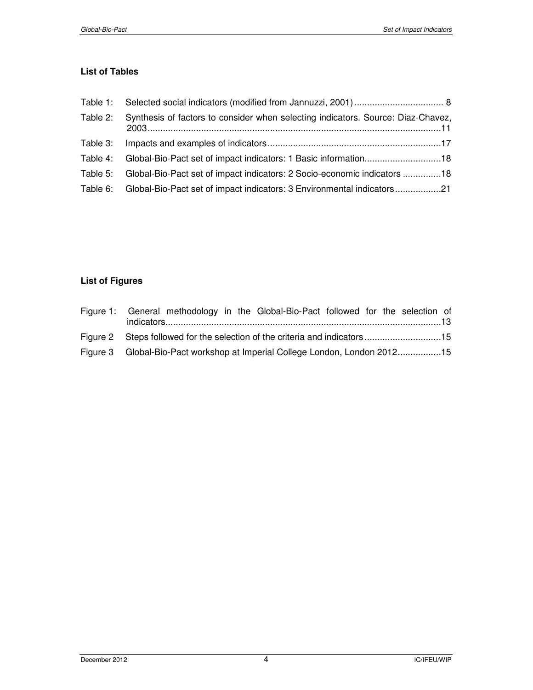## **List of Tables**

| Table 2: | Synthesis of factors to consider when selecting indicators. Source: Diaz-Chavez,  |
|----------|-----------------------------------------------------------------------------------|
| Table 3: |                                                                                   |
|          | Table 4: Global-Bio-Pact set of impact indicators: 1 Basic information18          |
|          | Table 5: Global-Bio-Pact set of impact indicators: 2 Socio-economic indicators 18 |
|          | Table 6: Global-Bio-Pact set of impact indicators: 3 Environmental indicators21   |

# **List of Figures**

| Figure 1: General methodology in the Global-Bio-Pact followed for the selection of |
|------------------------------------------------------------------------------------|
| Figure 2 Steps followed for the selection of the criteria and indicators 15        |
| Figure 3 Global-Bio-Pact workshop at Imperial College London, London 201215        |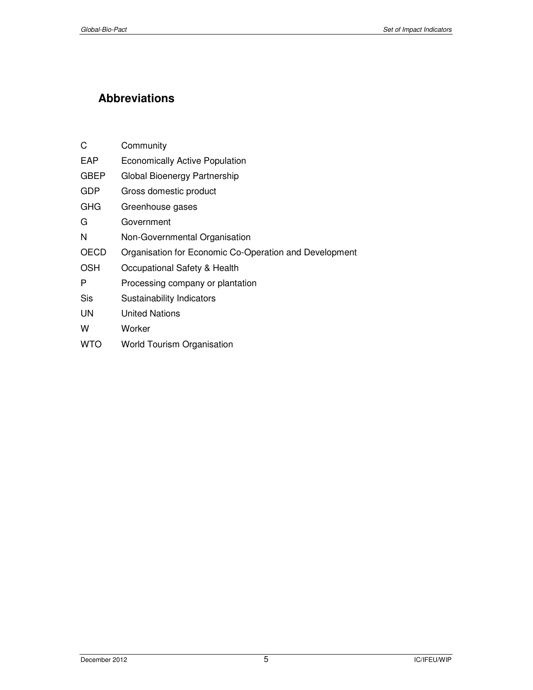# **Abbreviations**

| C           | Community                                              |
|-------------|--------------------------------------------------------|
| EAP         | <b>Economically Active Population</b>                  |
| <b>GBEP</b> | Global Bioenergy Partnership                           |
| <b>GDP</b>  | Gross domestic product                                 |
| GHG         | Greenhouse gases                                       |
| G           | Government                                             |
| N           | Non-Governmental Organisation                          |
| OECD        | Organisation for Economic Co-Operation and Development |
| OSH         | Occupational Safety & Health                           |
| P           | Processing company or plantation                       |
| Sis         | Sustainability Indicators                              |
| UN          | <b>United Nations</b>                                  |
| w           | Worker                                                 |
| WTO         | <b>World Tourism Organisation</b>                      |
|             |                                                        |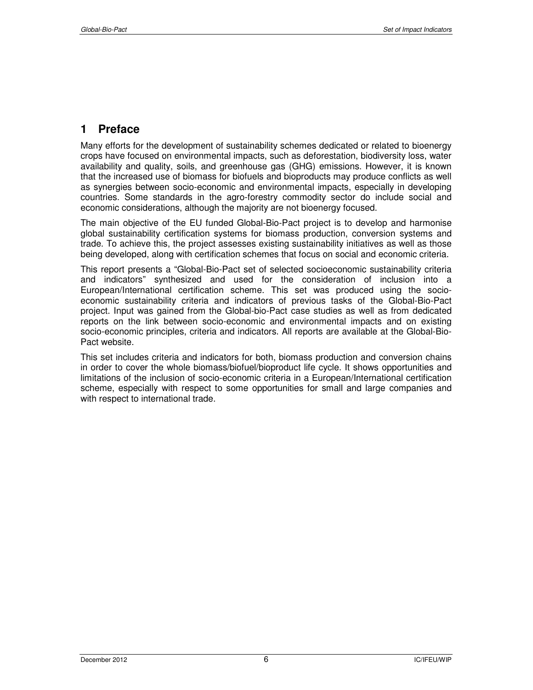# **1 Preface**

Many efforts for the development of sustainability schemes dedicated or related to bioenergy crops have focused on environmental impacts, such as deforestation, biodiversity loss, water availability and quality, soils, and greenhouse gas (GHG) emissions. However, it is known that the increased use of biomass for biofuels and bioproducts may produce conflicts as well as synergies between socio-economic and environmental impacts, especially in developing countries. Some standards in the agro-forestry commodity sector do include social and economic considerations, although the majority are not bioenergy focused.

The main objective of the EU funded Global-Bio-Pact project is to develop and harmonise global sustainability certification systems for biomass production, conversion systems and trade. To achieve this, the project assesses existing sustainability initiatives as well as those being developed, along with certification schemes that focus on social and economic criteria.

This report presents a "Global-Bio-Pact set of selected socioeconomic sustainability criteria and indicators" synthesized and used for the consideration of inclusion into a European/International certification scheme. This set was produced using the socioeconomic sustainability criteria and indicators of previous tasks of the Global-Bio-Pact project. Input was gained from the Global-bio-Pact case studies as well as from dedicated reports on the link between socio-economic and environmental impacts and on existing socio-economic principles, criteria and indicators. All reports are available at the Global-Bio-Pact website.

This set includes criteria and indicators for both, biomass production and conversion chains in order to cover the whole biomass/biofuel/bioproduct life cycle. It shows opportunities and limitations of the inclusion of socio-economic criteria in a European/International certification scheme, especially with respect to some opportunities for small and large companies and with respect to international trade.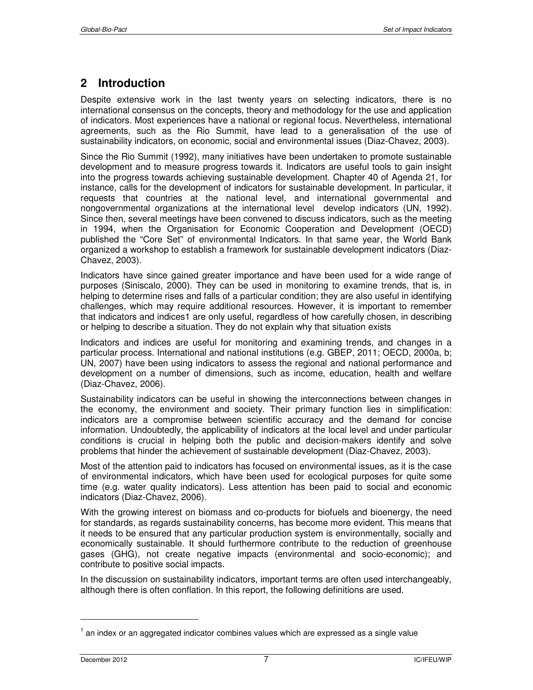# **2 Introduction**

Despite extensive work in the last twenty years on selecting indicators, there is no international consensus on the concepts, theory and methodology for the use and application of indicators. Most experiences have a national or regional focus. Nevertheless, international agreements, such as the Rio Summit, have lead to a generalisation of the use of sustainability indicators, on economic, social and environmental issues (Diaz-Chavez, 2003).

Since the Rio Summit (1992), many initiatives have been undertaken to promote sustainable development and to measure progress towards it. Indicators are useful tools to gain insight into the progress towards achieving sustainable development. Chapter 40 of Agenda 21, for instance, calls for the development of indicators for sustainable development. In particular, it requests that countries at the national level, and international governmental and nongovernmental organizations at the international level develop indicators (UN, 1992). Since then, several meetings have been convened to discuss indicators, such as the meeting in 1994, when the Organisation for Economic Cooperation and Development (OECD) published the "Core Set" of environmental Indicators. In that same year, the World Bank organized a workshop to establish a framework for sustainable development indicators (Diaz-Chavez, 2003).

Indicators have since gained greater importance and have been used for a wide range of purposes (Siniscalo, 2000). They can be used in monitoring to examine trends, that is, in helping to determine rises and falls of a particular condition; they are also useful in identifying challenges, which may require additional resources. However, it is important to remember that indicators and indices1 are only useful, regardless of how carefully chosen, in describing or helping to describe a situation. They do not explain why that situation exists

Indicators and indices are useful for monitoring and examining trends, and changes in a particular process. International and national institutions (e.g. GBEP, 2011; OECD, 2000a, b; UN, 2007) have been using indicators to assess the regional and national performance and development on a number of dimensions, such as income, education, health and welfare (Diaz-Chavez, 2006).

Sustainability indicators can be useful in showing the interconnections between changes in the economy, the environment and society. Their primary function lies in simplification: indicators are a compromise between scientific accuracy and the demand for concise information. Undoubtedly, the applicability of indicators at the local level and under particular conditions is crucial in helping both the public and decision-makers identify and solve problems that hinder the achievement of sustainable development (Diaz-Chavez, 2003).

Most of the attention paid to indicators has focused on environmental issues, as it is the case of environmental indicators, which have been used for ecological purposes for quite some time (e.g. water quality indicators). Less attention has been paid to social and economic indicators (Diaz-Chavez, 2006).

With the growing interest on biomass and co-products for biofuels and bioenergy, the need for standards, as regards sustainability concerns, has become more evident. This means that it needs to be ensured that any particular production system is environmentally, socially and economically sustainable. It should furthermore contribute to the reduction of greenhouse gases (GHG), not create negative impacts (environmental and socio-economic); and contribute to positive social impacts.

In the discussion on sustainability indicators, important terms are often used interchangeably, although there is often conflation. In this report, the following definitions are used.

December 2012 7 IC/IFEU/WIP

-

 $1$  an index or an aggregated indicator combines values which are expressed as a single value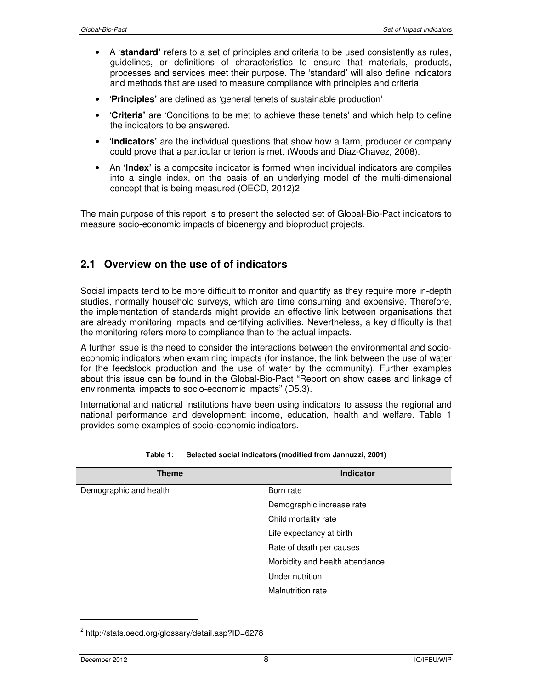- A '**standard'** refers to a set of principles and criteria to be used consistently as rules, guidelines, or definitions of characteristics to ensure that materials, products, processes and services meet their purpose. The 'standard' will also define indicators and methods that are used to measure compliance with principles and criteria.
- '**Principles'** are defined as 'general tenets of sustainable production'
- '**Criteria'** are 'Conditions to be met to achieve these tenets' and which help to define the indicators to be answered.
- '**Indicators'** are the individual questions that show how a farm, producer or company could prove that a particular criterion is met. (Woods and Diaz-Chavez, 2008).
- An '**Index'** is a composite indicator is formed when individual indicators are compiles into a single index, on the basis of an underlying model of the multi-dimensional concept that is being measured (OECD, 2012)2

The main purpose of this report is to present the selected set of Global-Bio-Pact indicators to measure socio-economic impacts of bioenergy and bioproduct projects.

# **2.1 Overview on the use of of indicators**

Social impacts tend to be more difficult to monitor and quantify as they require more in-depth studies, normally household surveys, which are time consuming and expensive. Therefore, the implementation of standards might provide an effective link between organisations that are already monitoring impacts and certifying activities. Nevertheless, a key difficulty is that the monitoring refers more to compliance than to the actual impacts.

A further issue is the need to consider the interactions between the environmental and socioeconomic indicators when examining impacts (for instance, the link between the use of water for the feedstock production and the use of water by the community). Further examples about this issue can be found in the Global-Bio-Pact "Report on show cases and linkage of environmental impacts to socio-economic impacts" (D5.3).

International and national institutions have been using indicators to assess the regional and national performance and development: income, education, health and welfare. Table 1 provides some examples of socio-economic indicators.

| <b>Theme</b>           | <b>Indicator</b>                |
|------------------------|---------------------------------|
| Demographic and health | Born rate                       |
|                        | Demographic increase rate       |
|                        | Child mortality rate            |
|                        | Life expectancy at birth        |
|                        | Rate of death per causes        |
|                        | Morbidity and health attendance |
|                        | Under nutrition                 |
|                        | <b>Malnutrition rate</b>        |

#### **Table 1: Selected social indicators (modified from Jannuzzi, 2001)**

-

<sup>&</sup>lt;sup>2</sup> http://stats.oecd.org/glossary/detail.asp?ID=6278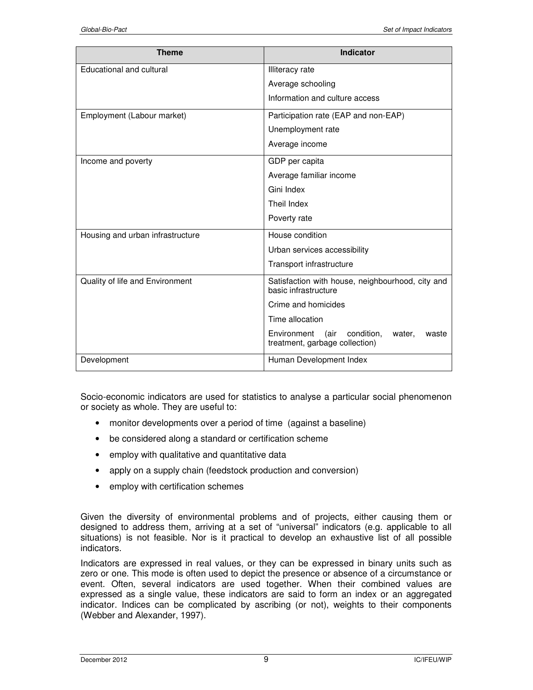| <b>Theme</b>                     | <b>Indicator</b>                                                                    |  |
|----------------------------------|-------------------------------------------------------------------------------------|--|
|                                  |                                                                                     |  |
| Educational and cultural         | <b>Illiteracy</b> rate                                                              |  |
|                                  | Average schooling                                                                   |  |
|                                  | Information and culture access                                                      |  |
| Employment (Labour market)       | Participation rate (EAP and non-EAP)                                                |  |
|                                  | Unemployment rate                                                                   |  |
|                                  | Average income                                                                      |  |
| Income and poverty               | GDP per capita                                                                      |  |
|                                  | Average familiar income                                                             |  |
|                                  | Gini Index                                                                          |  |
|                                  | Theil Index                                                                         |  |
|                                  | Poverty rate                                                                        |  |
| Housing and urban infrastructure | House condition                                                                     |  |
|                                  | Urban services accessibility                                                        |  |
|                                  | Transport infrastructure                                                            |  |
| Quality of life and Environment  | Satisfaction with house, neighbourhood, city and<br>basic infrastructure            |  |
|                                  | Crime and homicides                                                                 |  |
|                                  | Time allocation                                                                     |  |
|                                  | Environment (air<br>condition,<br>water,<br>waste<br>treatment, garbage collection) |  |
| Development                      | Human Development Index                                                             |  |

Socio-economic indicators are used for statistics to analyse a particular social phenomenon or society as whole. They are useful to:

- monitor developments over a period of time (against a baseline)
- be considered along a standard or certification scheme
- employ with qualitative and quantitative data
- apply on a supply chain (feedstock production and conversion)
- employ with certification schemes

Given the diversity of environmental problems and of projects, either causing them or designed to address them, arriving at a set of "universal" indicators (e.g. applicable to all situations) is not feasible. Nor is it practical to develop an exhaustive list of all possible indicators.

Indicators are expressed in real values, or they can be expressed in binary units such as zero or one. This mode is often used to depict the presence or absence of a circumstance or event. Often, several indicators are used together. When their combined values are expressed as a single value, these indicators are said to form an index or an aggregated indicator. Indices can be complicated by ascribing (or not), weights to their components (Webber and Alexander, 1997).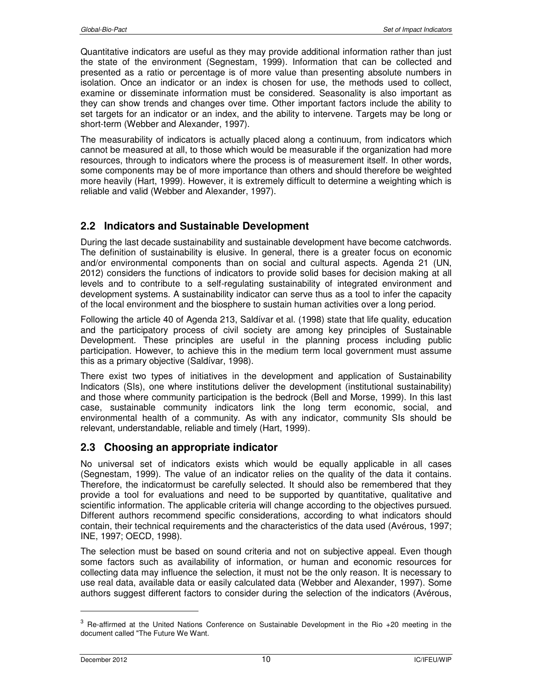Quantitative indicators are useful as they may provide additional information rather than just the state of the environment (Segnestam, 1999). Information that can be collected and presented as a ratio or percentage is of more value than presenting absolute numbers in isolation. Once an indicator or an index is chosen for use, the methods used to collect, examine or disseminate information must be considered. Seasonality is also important as they can show trends and changes over time. Other important factors include the ability to set targets for an indicator or an index, and the ability to intervene. Targets may be long or short-term (Webber and Alexander, 1997).

The measurability of indicators is actually placed along a continuum, from indicators which cannot be measured at all, to those which would be measurable if the organization had more resources, through to indicators where the process is of measurement itself. In other words, some components may be of more importance than others and should therefore be weighted more heavily (Hart, 1999). However, it is extremely difficult to determine a weighting which is reliable and valid (Webber and Alexander, 1997).

# **2.2 Indicators and Sustainable Development**

During the last decade sustainability and sustainable development have become catchwords. The definition of sustainability is elusive. In general, there is a greater focus on economic and/or environmental components than on social and cultural aspects. Agenda 21 (UN, 2012) considers the functions of indicators to provide solid bases for decision making at all levels and to contribute to a self-regulating sustainability of integrated environment and development systems. A sustainability indicator can serve thus as a tool to infer the capacity of the local environment and the biosphere to sustain human activities over a long period.

Following the article 40 of Agenda 213, Saldívar et al. (1998) state that life quality, education and the participatory process of civil society are among key principles of Sustainable Development. These principles are useful in the planning process including public participation. However, to achieve this in the medium term local government must assume this as a primary objective (Saldívar, 1998).

There exist two types of initiatives in the development and application of Sustainability Indicators (SIs), one where institutions deliver the development (institutional sustainability) and those where community participation is the bedrock (Bell and Morse, 1999). In this last case, sustainable community indicators link the long term economic, social, and environmental health of a community. As with any indicator, community SIs should be relevant, understandable, reliable and timely (Hart, 1999).

## **2.3 Choosing an appropriate indicator**

No universal set of indicators exists which would be equally applicable in all cases (Segnestam, 1999). The value of an indicator relies on the quality of the data it contains. Therefore, the indicatormust be carefully selected. It should also be remembered that they provide a tool for evaluations and need to be supported by quantitative, qualitative and scientific information. The applicable criteria will change according to the objectives pursued. Different authors recommend specific considerations, according to what indicators should contain, their technical requirements and the characteristics of the data used (Avérous, 1997; INE, 1997; OECD, 1998).

The selection must be based on sound criteria and not on subjective appeal. Even though some factors such as availability of information, or human and economic resources for collecting data may influence the selection, it must not be the only reason. It is necessary to use real data, available data or easily calculated data (Webber and Alexander, 1997). Some authors suggest different factors to consider during the selection of the indicators (Avérous,

-

 $3$  Re-affirmed at the United Nations Conference on Sustainable Development in the Rio +20 meeting in the document called "The Future We Want.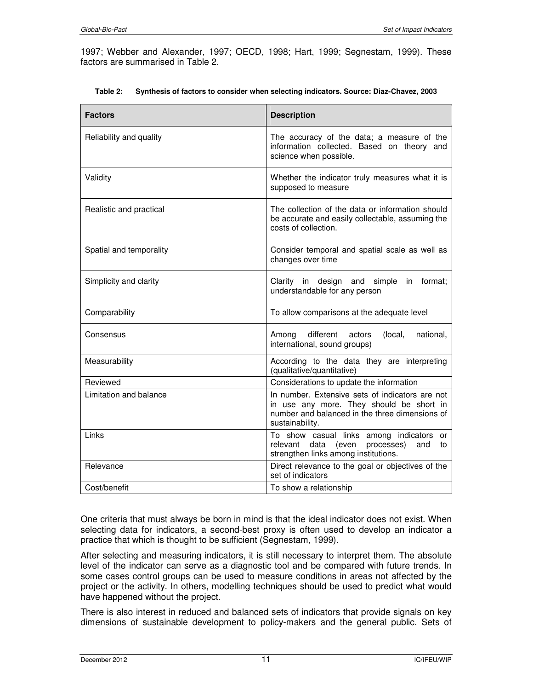1997; Webber and Alexander, 1997; OECD, 1998; Hart, 1999; Segnestam, 1999). These factors are summarised in Table 2.

| <b>Factors</b>          | <b>Description</b>                                                                                                                                               |
|-------------------------|------------------------------------------------------------------------------------------------------------------------------------------------------------------|
| Reliability and quality | The accuracy of the data; a measure of the<br>information collected. Based on theory and<br>science when possible.                                               |
| Validity                | Whether the indicator truly measures what it is<br>supposed to measure                                                                                           |
| Realistic and practical | The collection of the data or information should<br>be accurate and easily collectable, assuming the<br>costs of collection.                                     |
| Spatial and temporality | Consider temporal and spatial scale as well as<br>changes over time                                                                                              |
| Simplicity and clarity  | Clarity in design and simple in<br>format:<br>understandable for any person                                                                                      |
| Comparability           | To allow comparisons at the adequate level                                                                                                                       |
| Consensus               | different<br>national,<br>Among<br>actors<br>(local,<br>international, sound groups)                                                                             |
| Measurability           | According to the data they are interpreting<br>(qualitative/quantitative)                                                                                        |
| Reviewed                | Considerations to update the information                                                                                                                         |
| Limitation and balance  | In number. Extensive sets of indicators are not<br>in use any more. They should be short in<br>number and balanced in the three dimensions of<br>sustainability. |
| Links                   | To show casual links among indicators<br>or<br>relevant data<br>processes)<br>(even<br>and<br>to<br>strengthen links among institutions.                         |
| Relevance               | Direct relevance to the goal or objectives of the<br>set of indicators                                                                                           |
| Cost/benefit            | To show a relationship                                                                                                                                           |

|  | Table 2: Synthesis of factors to consider when selecting indicators. Source: Diaz-Chavez, 2003 |  |  |  |  |
|--|------------------------------------------------------------------------------------------------|--|--|--|--|
|--|------------------------------------------------------------------------------------------------|--|--|--|--|

One criteria that must always be born in mind is that the ideal indicator does not exist. When selecting data for indicators, a second-best proxy is often used to develop an indicator a practice that which is thought to be sufficient (Segnestam, 1999).

After selecting and measuring indicators, it is still necessary to interpret them. The absolute level of the indicator can serve as a diagnostic tool and be compared with future trends. In some cases control groups can be used to measure conditions in areas not affected by the project or the activity. In others, modelling techniques should be used to predict what would have happened without the project.

There is also interest in reduced and balanced sets of indicators that provide signals on key dimensions of sustainable development to policy-makers and the general public. Sets of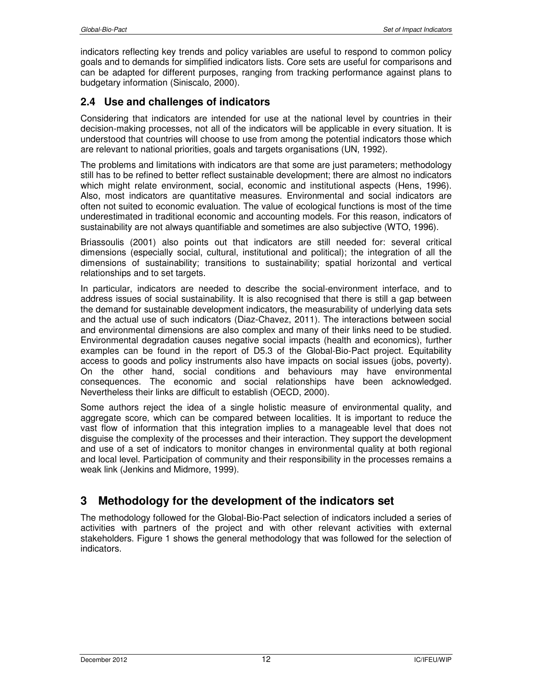indicators reflecting key trends and policy variables are useful to respond to common policy goals and to demands for simplified indicators lists. Core sets are useful for comparisons and can be adapted for different purposes, ranging from tracking performance against plans to budgetary information (Siniscalo, 2000).

# **2.4 Use and challenges of indicators**

Considering that indicators are intended for use at the national level by countries in their decision-making processes, not all of the indicators will be applicable in every situation. It is understood that countries will choose to use from among the potential indicators those which are relevant to national priorities, goals and targets organisations (UN, 1992).

The problems and limitations with indicators are that some are just parameters; methodology still has to be refined to better reflect sustainable development; there are almost no indicators which might relate environment, social, economic and institutional aspects (Hens, 1996). Also, most indicators are quantitative measures. Environmental and social indicators are often not suited to economic evaluation. The value of ecological functions is most of the time underestimated in traditional economic and accounting models. For this reason, indicators of sustainability are not always quantifiable and sometimes are also subjective (WTO, 1996).

Briassoulis (2001) also points out that indicators are still needed for: several critical dimensions (especially social, cultural, institutional and political); the integration of all the dimensions of sustainability; transitions to sustainability; spatial horizontal and vertical relationships and to set targets.

In particular, indicators are needed to describe the social-environment interface, and to address issues of social sustainability. It is also recognised that there is still a gap between the demand for sustainable development indicators, the measurability of underlying data sets and the actual use of such indicators (Diaz-Chavez, 2011). The interactions between social and environmental dimensions are also complex and many of their links need to be studied. Environmental degradation causes negative social impacts (health and economics), further examples can be found in the report of D5.3 of the Global-Bio-Pact project. Equitability access to goods and policy instruments also have impacts on social issues (jobs, poverty). On the other hand, social conditions and behaviours may have environmental consequences. The economic and social relationships have been acknowledged. Nevertheless their links are difficult to establish (OECD, 2000).

Some authors reject the idea of a single holistic measure of environmental quality, and aggregate score, which can be compared between localities. It is important to reduce the vast flow of information that this integration implies to a manageable level that does not disguise the complexity of the processes and their interaction. They support the development and use of a set of indicators to monitor changes in environmental quality at both regional and local level. Participation of community and their responsibility in the processes remains a weak link (Jenkins and Midmore, 1999).

# **3 Methodology for the development of the indicators set**

The methodology followed for the Global-Bio-Pact selection of indicators included a series of activities with partners of the project and with other relevant activities with external stakeholders. Figure 1 shows the general methodology that was followed for the selection of indicators.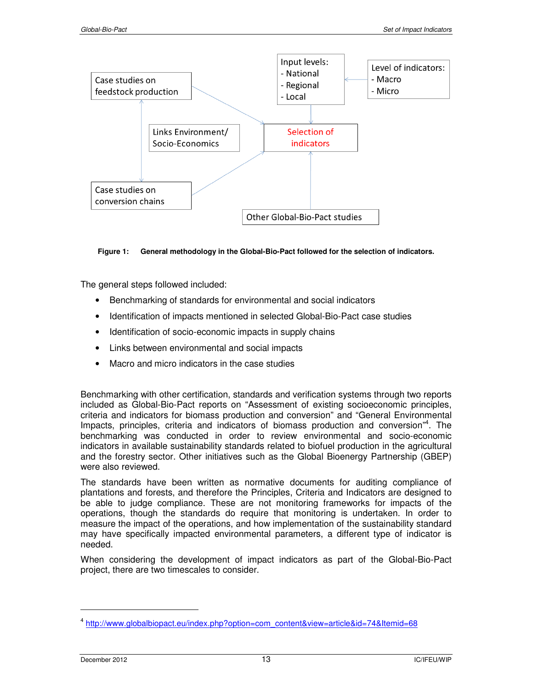

**Figure 1: General methodology in the Global-Bio-Pact followed for the selection of indicators.** 

The general steps followed included:

- Benchmarking of standards for environmental and social indicators
- Identification of impacts mentioned in selected Global-Bio-Pact case studies
- Identification of socio-economic impacts in supply chains
- Links between environmental and social impacts
- Macro and micro indicators in the case studies

Benchmarking with other certification, standards and verification systems through two reports included as Global-Bio-Pact reports on "Assessment of existing socioeconomic principles, criteria and indicators for biomass production and conversion" and "General Environmental Impacts, principles, criteria and indicators of biomass production and conversion<sup>"4</sup>. The benchmarking was conducted in order to review environmental and socio-economic indicators in available sustainability standards related to biofuel production in the agricultural and the forestry sector. Other initiatives such as the Global Bioenergy Partnership (GBEP) were also reviewed.

The standards have been written as normative documents for auditing compliance of plantations and forests, and therefore the Principles, Criteria and Indicators are designed to be able to judge compliance. These are not monitoring frameworks for impacts of the operations, though the standards do require that monitoring is undertaken. In order to measure the impact of the operations, and how implementation of the sustainability standard may have specifically impacted environmental parameters, a different type of indicator is needed.

When considering the development of impact indicators as part of the Global-Bio-Pact project, there are two timescales to consider.

 $\overline{a}$ 

<sup>&</sup>lt;sup>4</sup> http://www.globalbiopact.eu/index.php?option=com\_content&view=article&id=74&Itemid=68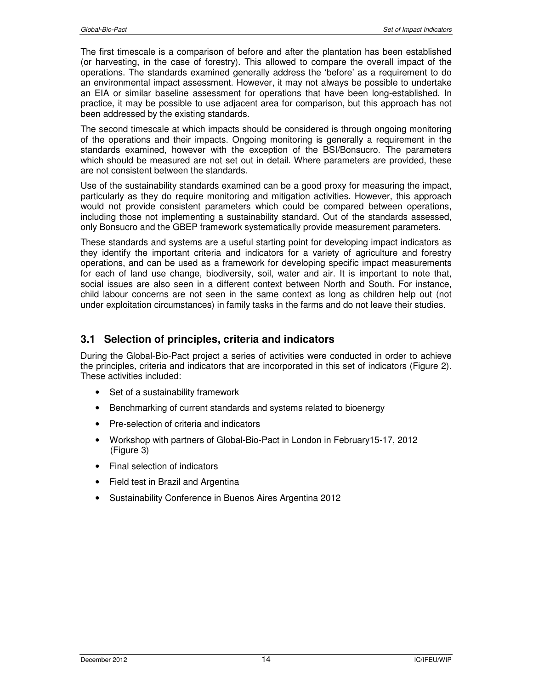The first timescale is a comparison of before and after the plantation has been established (or harvesting, in the case of forestry). This allowed to compare the overall impact of the operations. The standards examined generally address the 'before' as a requirement to do an environmental impact assessment. However, it may not always be possible to undertake an EIA or similar baseline assessment for operations that have been long-established. In practice, it may be possible to use adjacent area for comparison, but this approach has not been addressed by the existing standards.

The second timescale at which impacts should be considered is through ongoing monitoring of the operations and their impacts. Ongoing monitoring is generally a requirement in the standards examined, however with the exception of the BSI/Bonsucro. The parameters which should be measured are not set out in detail. Where parameters are provided, these are not consistent between the standards.

Use of the sustainability standards examined can be a good proxy for measuring the impact, particularly as they do require monitoring and mitigation activities. However, this approach would not provide consistent parameters which could be compared between operations, including those not implementing a sustainability standard. Out of the standards assessed, only Bonsucro and the GBEP framework systematically provide measurement parameters.

These standards and systems are a useful starting point for developing impact indicators as they identify the important criteria and indicators for a variety of agriculture and forestry operations, and can be used as a framework for developing specific impact measurements for each of land use change, biodiversity, soil, water and air. It is important to note that, social issues are also seen in a different context between North and South. For instance, child labour concerns are not seen in the same context as long as children help out (not under exploitation circumstances) in family tasks in the farms and do not leave their studies.

## **3.1 Selection of principles, criteria and indicators**

During the Global-Bio-Pact project a series of activities were conducted in order to achieve the principles, criteria and indicators that are incorporated in this set of indicators (Figure 2). These activities included:

- Set of a sustainability framework
- Benchmarking of current standards and systems related to bioenergy
- Pre-selection of criteria and indicators
- Workshop with partners of Global-Bio-Pact in London in February15-17, 2012 (Figure 3)
- Final selection of indicators
- Field test in Brazil and Argentina
- Sustainability Conference in Buenos Aires Argentina 2012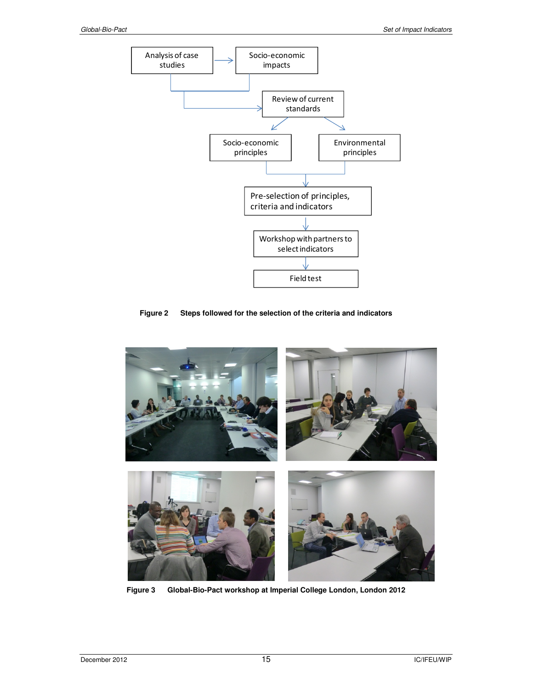

**Figure 2 Steps followed for the selection of the criteria and indicators** 



**Figure 3 Global-Bio-Pact workshop at Imperial College London, London 2012**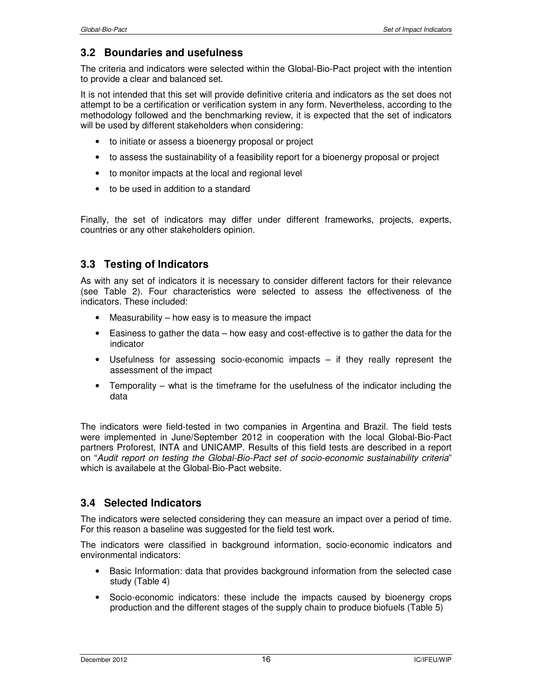#### **3.2 Boundaries and usefulness**

The criteria and indicators were selected within the Global-Bio-Pact project with the intention to provide a clear and balanced set.

It is not intended that this set will provide definitive criteria and indicators as the set does not attempt to be a certification or verification system in any form. Nevertheless, according to the methodology followed and the benchmarking review, it is expected that the set of indicators will be used by different stakeholders when considering:

- to initiate or assess a bioenergy proposal or project
- to assess the sustainability of a feasibility report for a bioenergy proposal or project
- to monitor impacts at the local and regional level
- to be used in addition to a standard

Finally, the set of indicators may differ under different frameworks, projects, experts, countries or any other stakeholders opinion.

## **3.3 Testing of Indicators**

As with any set of indicators it is necessary to consider different factors for their relevance (see Table 2). Four characteristics were selected to assess the effectiveness of the indicators. These included:

- Measurability how easy is to measure the impact
- Easiness to gather the data how easy and cost-effective is to gather the data for the indicator
- Usefulness for assessing socio-economic impacts if they really represent the assessment of the impact
- Temporality what is the timeframe for the usefulness of the indicator including the data

The indicators were field-tested in two companies in Argentina and Brazil. The field tests were implemented in June/September 2012 in cooperation with the local Global-Bio-Pact partners Proforest, INTA and UNICAMP. Results of this field tests are described in a report on "*Audit report on testing the Global-Bio-Pact set of socio-economic sustainability criteria*" which is availabele at the Global-Bio-Pact website.

#### **3.4 Selected Indicators**

The indicators were selected considering they can measure an impact over a period of time. For this reason a baseline was suggested for the field test work.

The indicators were classified in background information, socio-economic indicators and environmental indicators:

- Basic Information: data that provides background information from the selected case study (Table 4)
- Socio-economic indicators: these include the impacts caused by bioenergy crops production and the different stages of the supply chain to produce biofuels (Table 5)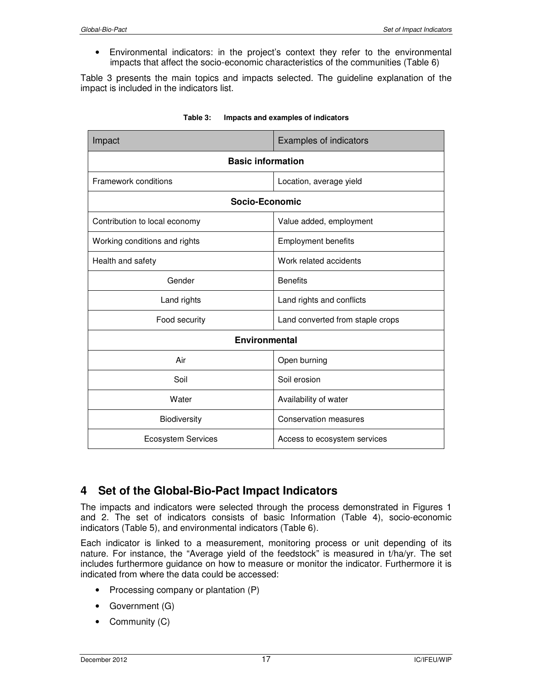• Environmental indicators: in the project's context they refer to the environmental impacts that affect the socio-economic characteristics of the communities (Table 6)

Table 3 presents the main topics and impacts selected. The guideline explanation of the impact is included in the indicators list.

| Impact                        | <b>Examples of indicators</b>    |  |
|-------------------------------|----------------------------------|--|
| <b>Basic information</b>      |                                  |  |
| Framework conditions          | Location, average yield          |  |
| <b>Socio-Economic</b>         |                                  |  |
| Contribution to local economy | Value added, employment          |  |
| Working conditions and rights | <b>Employment benefits</b>       |  |
| Health and safety             | Work related accidents           |  |
| Gender                        | <b>Benefits</b>                  |  |
| Land rights                   | Land rights and conflicts        |  |
| Food security                 | Land converted from staple crops |  |
| <b>Environmental</b>          |                                  |  |
| Air                           | Open burning                     |  |
| Soil                          | Soil erosion                     |  |
| Water                         | Availability of water            |  |
| Biodiversity                  | <b>Conservation measures</b>     |  |
| <b>Ecosystem Services</b>     | Access to ecosystem services     |  |

| Table 3: | Impacts and examples of indicators |
|----------|------------------------------------|
|          |                                    |

# **4 Set of the Global-Bio-Pact Impact Indicators**

The impacts and indicators were selected through the process demonstrated in Figures 1 and 2. The set of indicators consists of basic Information (Table 4), socio-economic indicators (Table 5), and environmental indicators (Table 6).

Each indicator is linked to a measurement, monitoring process or unit depending of its nature. For instance, the "Average yield of the feedstock" is measured in t/ha/yr. The set includes furthermore guidance on how to measure or monitor the indicator. Furthermore it is indicated from where the data could be accessed:

- Processing company or plantation (P)
- Government (G)
- Community (C)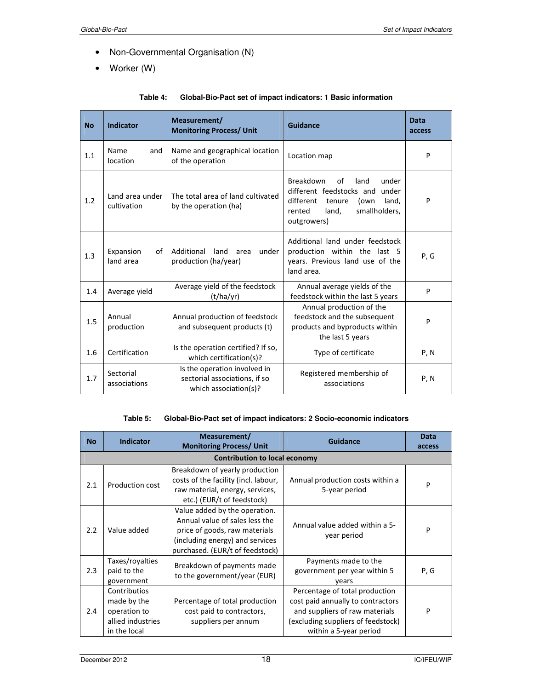- Non-Governmental Organisation (N)
- Worker (W)

| <b>No</b> | <b>Indicator</b>               | Measurement/<br><b>Monitoring Process/ Unit</b>                                        | Guidance                                                                                                                                                      | Data<br>access |
|-----------|--------------------------------|----------------------------------------------------------------------------------------|---------------------------------------------------------------------------------------------------------------------------------------------------------------|----------------|
| 1.1       | Name<br>and<br>location        | Name and geographical location<br>of the operation                                     | Location map                                                                                                                                                  | P              |
| 1.2       | Land area under<br>cultivation | The total area of land cultivated<br>by the operation (ha)                             | Breakdown<br>of<br>land<br>under<br>different feedstocks and under<br>different<br>tenure<br>land,<br>(own<br>smallholders,<br>rented<br>land,<br>outgrowers) | P              |
| 1.3       | Expansion<br>of<br>land area   | Additional<br>land<br>under<br>area<br>production (ha/year)                            | Additional land under feedstock<br>production within the last 5<br>years. Previous land use of the<br>land area.                                              | P, G           |
| 1.4       | Average yield                  | Average yield of the feedstock<br>(t/ha/yr)                                            | Annual average yields of the<br>feedstock within the last 5 years                                                                                             | P              |
| 1.5       | Annual<br>production           | Annual production of feedstock<br>and subsequent products (t)                          | Annual production of the<br>feedstock and the subsequent<br>products and byproducts within<br>the last 5 years                                                | P              |
| 1.6       | Certification                  | Is the operation certified? If so,<br>which certification(s)?                          | Type of certificate                                                                                                                                           | P, N           |
| 1.7       | Sectorial<br>associations      | Is the operation involved in<br>sectorial associations, if so<br>which association(s)? | Registered membership of<br>associations                                                                                                                      | P, N           |

#### **Table 4: Global-Bio-Pact set of impact indicators: 1 Basic information**

#### **Table 5: Global-Bio-Pact set of impact indicators: 2 Socio-economic indicators**

| <b>No</b> | <b>Indicator</b>                                                                 | Measurement/<br><b>Monitoring Process/ Unit</b>                                                                                                                        | Guidance                                                                                                                                                              | <b>Data</b><br>access |
|-----------|----------------------------------------------------------------------------------|------------------------------------------------------------------------------------------------------------------------------------------------------------------------|-----------------------------------------------------------------------------------------------------------------------------------------------------------------------|-----------------------|
|           |                                                                                  | <b>Contribution to local economy</b>                                                                                                                                   |                                                                                                                                                                       |                       |
| 2.1       | Production cost                                                                  | Breakdown of yearly production<br>costs of the facility (incl. labour,<br>raw material, energy, services,<br>etc.) (EUR/t of feedstock)                                | Annual production costs within a<br>5-year period                                                                                                                     | P                     |
| 2.2       | Value added                                                                      | Value added by the operation.<br>Annual value of sales less the<br>price of goods, raw materials<br>(including energy) and services<br>purchased. (EUR/t of feedstock) | Annual value added within a 5-<br>year period                                                                                                                         | P                     |
| 2.3       | Taxes/royalties<br>paid to the<br>government                                     | Breakdown of payments made<br>to the government/year (EUR)                                                                                                             | Payments made to the<br>government per year within 5<br>years                                                                                                         | P, G                  |
| 2.4       | Contributios<br>made by the<br>operation to<br>allied industries<br>in the local | Percentage of total production<br>cost paid to contractors,<br>suppliers per annum                                                                                     | Percentage of total production<br>cost paid annually to contractors<br>and suppliers of raw materials<br>(excluding suppliers of feedstock)<br>within a 5-year period | P                     |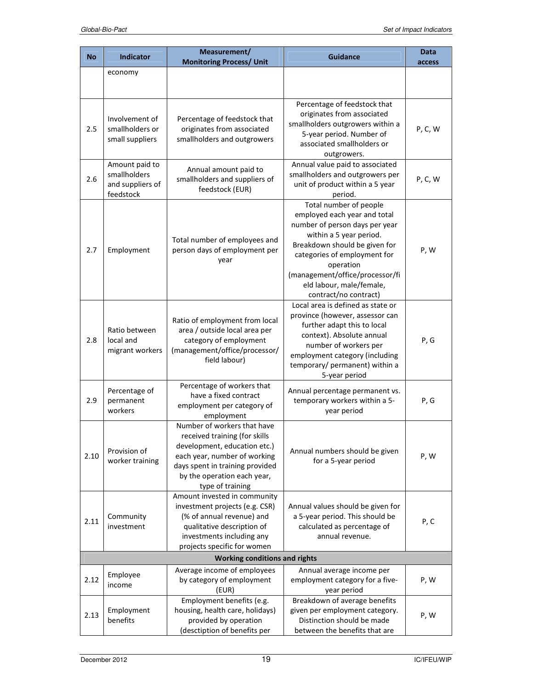|           |                                                                 | Measurement/                                                                                                                                                                                                       |                                                                                                                                                                                                                                                                                           | Data    |
|-----------|-----------------------------------------------------------------|--------------------------------------------------------------------------------------------------------------------------------------------------------------------------------------------------------------------|-------------------------------------------------------------------------------------------------------------------------------------------------------------------------------------------------------------------------------------------------------------------------------------------|---------|
| <b>No</b> | <b>Indicator</b>                                                | <b>Monitoring Process/ Unit</b>                                                                                                                                                                                    | <b>Guidance</b>                                                                                                                                                                                                                                                                           | access  |
|           | economy                                                         |                                                                                                                                                                                                                    |                                                                                                                                                                                                                                                                                           |         |
| 2.5       | Involvement of<br>smallholders or<br>small suppliers            | Percentage of feedstock that<br>originates from associated<br>smallholders and outgrowers                                                                                                                          | Percentage of feedstock that<br>originates from associated<br>smallholders outgrowers within a<br>5-year period. Number of<br>associated smallholders or<br>outgrowers.                                                                                                                   | P, C, W |
| 2.6       | Amount paid to<br>smallholders<br>and suppliers of<br>feedstock | Annual amount paid to<br>smallholders and suppliers of<br>feedstock (EUR)                                                                                                                                          | Annual value paid to associated<br>smallholders and outgrowers per<br>unit of product within a 5 year<br>period.                                                                                                                                                                          | P, C, W |
| 2.7       | Employment                                                      | Total number of employees and<br>person days of employment per<br>year                                                                                                                                             | Total number of people<br>employed each year and total<br>number of person days per year<br>within a 5 year period.<br>Breakdown should be given for<br>categories of employment for<br>operation<br>(management/office/processor/fi<br>eld labour, male/female,<br>contract/no contract) | P, W    |
| 2.8       | Ratio between<br>local and<br>migrant workers                   | Ratio of employment from local<br>area / outside local area per<br>category of employment<br>(management/office/processor/<br>field labour)                                                                        | Local area is defined as state or<br>province (however, assessor can<br>further adapt this to local<br>context). Absolute annual<br>number of workers per<br>employment category (including<br>temporary/ permanent) within a<br>5-year period                                            | P, G    |
| 2.9       | Percentage of<br>permanent<br>workers                           | Percentage of workers that<br>have a fixed contract<br>employment per category of<br>employment                                                                                                                    | Annual percentage permanent vs.<br>temporary workers within a 5-<br>year period                                                                                                                                                                                                           | P, G    |
| 2.10      | Provision of<br>worker training                                 | Number of workers that have<br>received training (for skills<br>development, education etc.)<br>each year, number of working<br>days spent in training provided<br>by the operation each year,<br>type of training | Annual numbers should be given<br>for a 5-year period                                                                                                                                                                                                                                     | P, W    |
| 2.11      | Community<br>investment                                         | Amount invested in community<br>investment projects (e.g. CSR)<br>(% of annual revenue) and<br>qualitative description of<br>investments including any<br>projects specific for women                              | Annual values should be given for<br>a 5-year period. This should be<br>calculated as percentage of<br>annual revenue.                                                                                                                                                                    | P, C    |
|           |                                                                 | <b>Working conditions and rights</b>                                                                                                                                                                               |                                                                                                                                                                                                                                                                                           |         |
| 2.12      | Employee<br>income                                              | Average income of employees<br>by category of employment<br>(EUR)                                                                                                                                                  | Annual average income per<br>employment category for a five-<br>year period                                                                                                                                                                                                               | P, W    |
| 2.13      | Employment<br>benefits                                          | Employment benefits (e.g.<br>housing, health care, holidays)<br>provided by operation<br>(desctiption of benefits per                                                                                              | Breakdown of average benefits<br>given per employment category.<br>Distinction should be made<br>between the benefits that are                                                                                                                                                            | P, W    |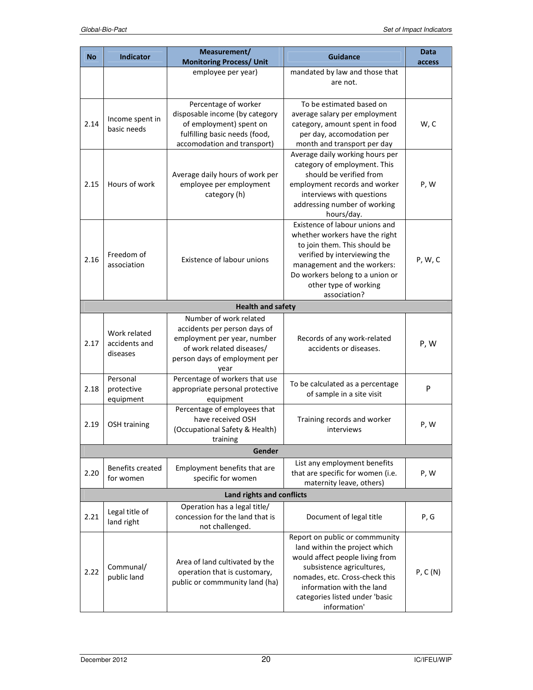|           |                                           | Measurement/                                                                                                                                                |                                                                                                                                                                                                                                                  | Data    |
|-----------|-------------------------------------------|-------------------------------------------------------------------------------------------------------------------------------------------------------------|--------------------------------------------------------------------------------------------------------------------------------------------------------------------------------------------------------------------------------------------------|---------|
| <b>No</b> | <b>Indicator</b>                          | <b>Monitoring Process/ Unit</b>                                                                                                                             | <b>Guidance</b>                                                                                                                                                                                                                                  | access  |
|           |                                           | employee per year)                                                                                                                                          | mandated by law and those that<br>are not.                                                                                                                                                                                                       |         |
| 2.14      | Income spent in<br>basic needs            | Percentage of worker<br>disposable income (by category<br>of employment) spent on<br>fulfilling basic needs (food,<br>accomodation and transport)           | To be estimated based on<br>average salary per employment<br>category, amount spent in food<br>per day, accomodation per<br>month and transport per day                                                                                          | W, C    |
| 2.15      | Hours of work                             | Average daily hours of work per<br>employee per employment<br>category (h)                                                                                  | Average daily working hours per<br>category of employment. This<br>should be verified from<br>employment records and worker<br>interviews with questions<br>addressing number of working<br>hours/day.                                           | P, W    |
| 2.16      | Freedom of<br>association                 | Existence of labour unions                                                                                                                                  | Existence of labour unions and<br>whether workers have the right<br>to join them. This should be<br>verified by interviewing the<br>management and the workers:<br>Do workers belong to a union or<br>other type of working<br>association?      | P, W, C |
|           |                                           | <b>Health and safety</b>                                                                                                                                    |                                                                                                                                                                                                                                                  |         |
| 2.17      | Work related<br>accidents and<br>diseases | Number of work related<br>accidents per person days of<br>employment per year, number<br>of work related diseases/<br>person days of employment per<br>year | Records of any work-related<br>accidents or diseases.                                                                                                                                                                                            | P, W    |
| 2.18      | Personal<br>protective<br>equipment       | Percentage of workers that use<br>appropriate personal protective<br>equipment                                                                              | To be calculated as a percentage<br>of sample in a site visit                                                                                                                                                                                    | P       |
| 2.19      | <b>OSH</b> training                       | Percentage of employees that<br>have received OSH<br>(Occupational Safety & Health)<br>training                                                             | Training records and worker<br>interviews                                                                                                                                                                                                        | P, W    |
|           |                                           | Gender                                                                                                                                                      |                                                                                                                                                                                                                                                  |         |
| 2.20      | <b>Benefits created</b><br>for women      | Employment benefits that are<br>specific for women                                                                                                          | List any employment benefits<br>that are specific for women (i.e.<br>maternity leave, others)                                                                                                                                                    | P, W    |
|           |                                           | Land rights and conflicts                                                                                                                                   |                                                                                                                                                                                                                                                  |         |
| 2.21      | Legal title of<br>land right              | Operation has a legal title/<br>concession for the land that is<br>not challenged.                                                                          | Document of legal title                                                                                                                                                                                                                          | P, G    |
| 2.22      | Communal/<br>public land                  | Area of land cultivated by the<br>operation that is customary,<br>public or commmunity land (ha)                                                            | Report on public or commmunity<br>land within the project which<br>would affect people living from<br>subsistence agricultures,<br>nomades, etc. Cross-check this<br>information with the land<br>categories listed under 'basic<br>information' | P, C(N) |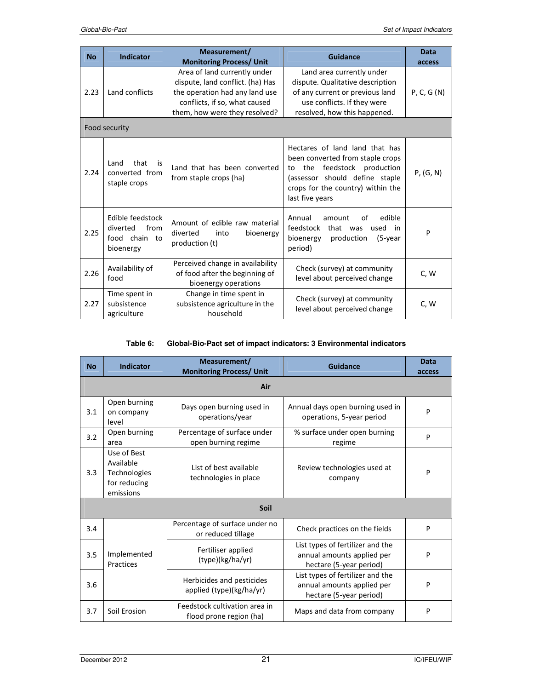| <b>No</b> | <b>Indicator</b>                                                   | Measurement/                                                                               | Guidance                                                                                                                                                                                    | Data       |  |
|-----------|--------------------------------------------------------------------|--------------------------------------------------------------------------------------------|---------------------------------------------------------------------------------------------------------------------------------------------------------------------------------------------|------------|--|
|           |                                                                    | <b>Monitoring Process/ Unit</b>                                                            |                                                                                                                                                                                             | access     |  |
| 2.23      |                                                                    | Area of land currently under                                                               | Land area currently under                                                                                                                                                                   |            |  |
|           |                                                                    | dispute, land conflict. (ha) Has                                                           | dispute. Qualitative description                                                                                                                                                            |            |  |
|           | Land conflicts                                                     | the operation had any land use                                                             | of any current or previous land                                                                                                                                                             | P, C, G(N) |  |
|           |                                                                    | conflicts, if so, what caused                                                              | use conflicts. If they were                                                                                                                                                                 |            |  |
|           |                                                                    | them, how were they resolved?                                                              | resolved, how this happened.                                                                                                                                                                |            |  |
|           | Food security                                                      |                                                                                            |                                                                                                                                                                                             |            |  |
| 2.24      | that<br>Land<br>is<br>converted from<br>staple crops               | Land that has been converted<br>from staple crops (ha)                                     | Hectares of land land that has<br>been converted from staple crops<br>to the feedstock production<br>(assessor should define staple<br>crops for the country) within the<br>last five years | P, (G, N)  |  |
| 2.25      | Edible feedstock<br>from<br>diverted<br>food chain to<br>bioenergy | Amount of edible raw material<br>diverted<br>into<br>bioenergy<br>production (t)           | Annual<br>edible<br>amount<br>οf<br>feedstock<br>that was<br>used<br>in in<br>bioenergy<br>production<br>(5-year<br>period)                                                                 | P          |  |
| 2.26      | Availability of<br>food                                            | Perceived change in availability<br>of food after the beginning of<br>bioenergy operations | Check (survey) at community<br>level about perceived change                                                                                                                                 | C, W       |  |
|           | Time spent in                                                      | Change in time spent in                                                                    | Check (survey) at community<br>level about perceived change                                                                                                                                 | C, W       |  |
| 2.27      | subsistence                                                        | subsistence agriculture in the                                                             |                                                                                                                                                                                             |            |  |
|           | agriculture                                                        | household                                                                                  |                                                                                                                                                                                             |            |  |

#### **Table 6: Global-Bio-Pact set of impact indicators: 3 Environmental indicators**

| <b>No</b> | Indicator                                                             | Measurement/<br><b>Monitoring Process/ Unit</b>          | Guidance                                                                                  | <b>Data</b><br>access |  |
|-----------|-----------------------------------------------------------------------|----------------------------------------------------------|-------------------------------------------------------------------------------------------|-----------------------|--|
|           | Air                                                                   |                                                          |                                                                                           |                       |  |
| 3.1       | Open burning<br>on company<br>level                                   | Days open burning used in<br>operations/year             | Annual days open burning used in<br>operations, 5-year period                             | P                     |  |
| 3.2       | Open burning<br>area                                                  | Percentage of surface under<br>open burning regime       | % surface under open burning<br>regime                                                    | P                     |  |
| 3.3       | Use of Best<br>Available<br>Technologies<br>for reducing<br>emissions | List of best available<br>technologies in place          | Review technologies used at<br>company                                                    | P                     |  |
|           | Soil                                                                  |                                                          |                                                                                           |                       |  |
| 3.4       |                                                                       | Percentage of surface under no<br>or reduced tillage     | Check practices on the fields                                                             | P                     |  |
| 3.5       | Implemented<br>Practices                                              | Fertiliser applied<br>(type)(kg/ha/yr)                   | List types of fertilizer and the<br>annual amounts applied per<br>hectare (5-year period) | P                     |  |
| 3.6       |                                                                       | Herbicides and pesticides<br>applied (type)(kg/ha/yr)    | List types of fertilizer and the<br>annual amounts applied per<br>hectare (5-year period) | P                     |  |
| 3.7       | Soil Erosion                                                          | Feedstock cultivation area in<br>flood prone region (ha) | Maps and data from company                                                                | P                     |  |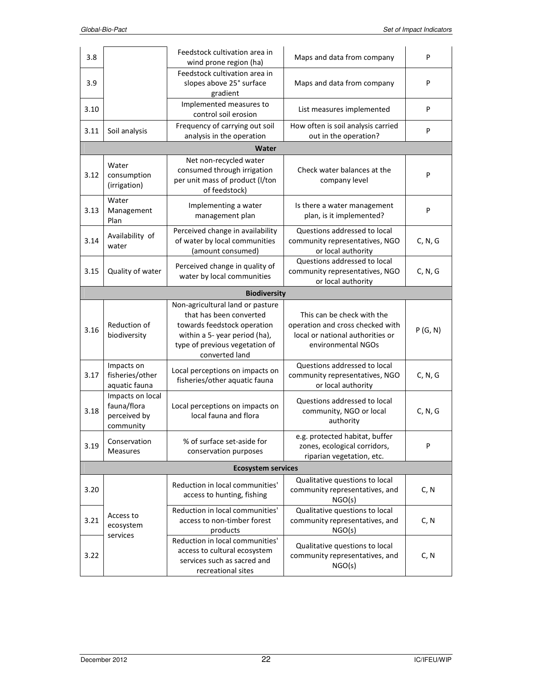| 3.8  |                                                              | Feedstock cultivation area in<br>wind prone region (ha)                                                                                                                         | Maps and data from company                                                                                               | P       |
|------|--------------------------------------------------------------|---------------------------------------------------------------------------------------------------------------------------------------------------------------------------------|--------------------------------------------------------------------------------------------------------------------------|---------|
| 3.9  |                                                              | Feedstock cultivation area in<br>slopes above 25° surface<br>gradient                                                                                                           | Maps and data from company                                                                                               | P       |
| 3.10 |                                                              | Implemented measures to<br>control soil erosion                                                                                                                                 | List measures implemented                                                                                                | P       |
| 3.11 | Soil analysis                                                | Frequency of carrying out soil<br>analysis in the operation                                                                                                                     | How often is soil analysis carried<br>out in the operation?                                                              | P       |
|      |                                                              | Water                                                                                                                                                                           |                                                                                                                          |         |
| 3.12 | Water<br>consumption<br>(irrigation)                         | Net non-recycled water<br>consumed through irrigation<br>per unit mass of product (I/ton<br>of feedstock)                                                                       | Check water balances at the<br>company level                                                                             | P       |
| 3.13 | Water<br>Management<br>Plan                                  | Implementing a water<br>management plan                                                                                                                                         | Is there a water management<br>plan, is it implemented?                                                                  | P       |
| 3.14 | Availability of<br>water                                     | Perceived change in availability<br>of water by local communities<br>(amount consumed)                                                                                          | Questions addressed to local<br>community representatives, NGO<br>or local authority                                     | C, N, G |
| 3.15 | Quality of water                                             | Perceived change in quality of<br>water by local communities                                                                                                                    | Questions addressed to local<br>community representatives, NGO<br>or local authority                                     | C, N, G |
|      |                                                              | <b>Biodiversity</b>                                                                                                                                                             |                                                                                                                          |         |
| 3.16 | Reduction of<br>biodiversity                                 | Non-agricultural land or pasture<br>that has been converted<br>towards feedstock operation<br>within a 5- year period (ha),<br>type of previous vegetation of<br>converted land | This can be check with the<br>operation and cross checked with<br>local or national authorities or<br>environmental NGOs | P(G, N) |
| 3.17 | Impacts on<br>fisheries/other<br>aquatic fauna               | Local perceptions on impacts on<br>fisheries/other aquatic fauna                                                                                                                | Questions addressed to local<br>community representatives, NGO<br>or local authority                                     | C, N, G |
| 3.18 | Impacts on local<br>fauna/flora<br>perceived by<br>community | Local perceptions on impacts on<br>local fauna and flora                                                                                                                        | Questions addressed to local<br>community, NGO or local<br>authority                                                     | C, N, G |
| 3.19 | Conservation<br><b>Measures</b>                              | % of surface set-aside for<br>conservation purposes                                                                                                                             | e.g. protected habitat, buffer<br>zones, ecological corridors,<br>riparian vegetation, etc.                              | P       |
|      |                                                              | <b>Ecosystem services</b>                                                                                                                                                       |                                                                                                                          |         |
| 3.20 |                                                              | Reduction in local communities'<br>access to hunting, fishing                                                                                                                   | Qualitative questions to local<br>community representatives, and<br>NGO(s)                                               | C, N    |
| 3.21 | Access to<br>ecosystem                                       | Reduction in local communities'<br>access to non-timber forest<br>products                                                                                                      | Qualitative questions to local<br>community representatives, and<br>NGO(s)                                               | C, N    |
| 3.22 | services                                                     | Reduction in local communities'<br>access to cultural ecosystem                                                                                                                 | Qualitative questions to local                                                                                           |         |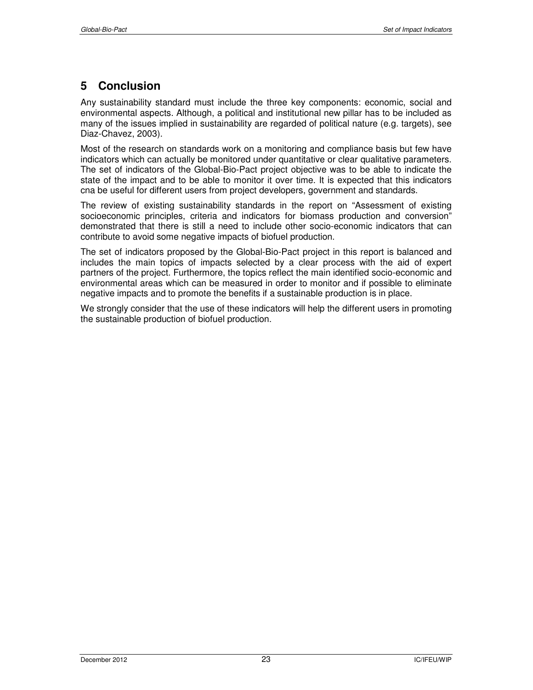# **5 Conclusion**

Any sustainability standard must include the three key components: economic, social and environmental aspects. Although, a political and institutional new pillar has to be included as many of the issues implied in sustainability are regarded of political nature (e.g. targets), see Diaz-Chavez, 2003).

Most of the research on standards work on a monitoring and compliance basis but few have indicators which can actually be monitored under quantitative or clear qualitative parameters. The set of indicators of the Global-Bio-Pact project objective was to be able to indicate the state of the impact and to be able to monitor it over time. It is expected that this indicators cna be useful for different users from project developers, government and standards.

The review of existing sustainability standards in the report on "Assessment of existing socioeconomic principles, criteria and indicators for biomass production and conversion" demonstrated that there is still a need to include other socio-economic indicators that can contribute to avoid some negative impacts of biofuel production.

The set of indicators proposed by the Global-Bio-Pact project in this report is balanced and includes the main topics of impacts selected by a clear process with the aid of expert partners of the project. Furthermore, the topics reflect the main identified socio-economic and environmental areas which can be measured in order to monitor and if possible to eliminate negative impacts and to promote the benefits if a sustainable production is in place.

We strongly consider that the use of these indicators will help the different users in promoting the sustainable production of biofuel production.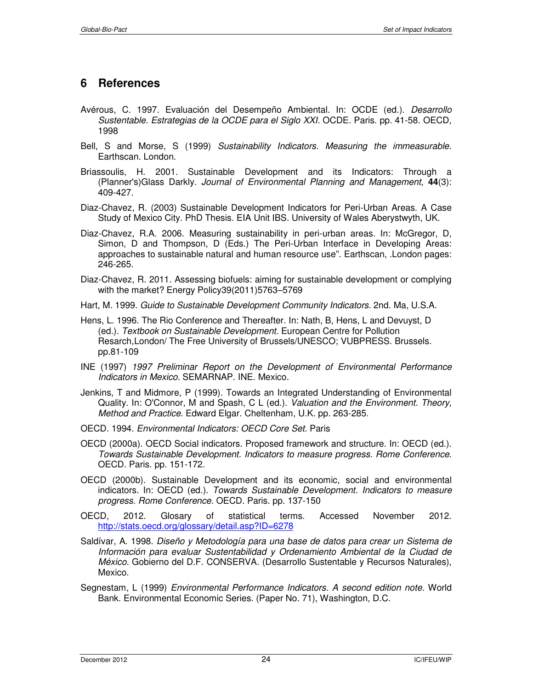# **6 References**

- Avérous, C. 1997. Evaluación del Desempeño Ambiental. In: OCDE (ed.). *Desarrollo Sustentable. Estrategias de la OCDE para el Siglo XXI.* OCDE. Paris. pp. 41-58. OECD, 1998
- Bell, S and Morse, S (1999) *Sustainability Indicators. Measuring the immeasurable.*  Earthscan. London.
- Briassoulis, H. 2001. Sustainable Development and its Indicators: Through a (Planner's)Glass Darkly. *Journal of Environmental Planning and Management,* **44**(3): 409-427.
- Diaz-Chavez, R. (2003) Sustainable Development Indicators for Peri-Urban Areas. A Case Study of Mexico City. PhD Thesis. EIA Unit IBS. University of Wales Aberystwyth, UK.
- Diaz-Chavez, R.A. 2006. Measuring sustainability in peri-urban areas. In: McGregor, D, Simon, D and Thompson, D (Eds.) The Peri-Urban Interface in Developing Areas: approaches to sustainable natural and human resource use". Earthscan, .London pages: 246-265.
- Diaz-Chavez, R. 2011. Assessing biofuels: aiming for sustainable development or complying with the market? Energy Policy39(2011)5763–5769
- Hart, M. 1999. *Guide to Sustainable Development Community Indicators.* 2nd. Ma, U.S.A.
- Hens, L. 1996. The Rio Conference and Thereafter. In: Nath, B, Hens, L and Devuyst, D (ed.). *Textbook on Sustainable Development.* European Centre for Pollution Resarch,London/ The Free University of Brussels/UNESCO; VUBPRESS. Brussels. pp.81-109
- INE (1997) *1997 Preliminar Report on the Development of Environmental Performance Indicators in Mexico.* SEMARNAP. INE. Mexico.
- Jenkins, T and Midmore, P (1999). Towards an Integrated Understanding of Environmental Quality. In: O'Connor, M and Spash, C L (ed.). *Valuation and the Environment. Theory, Method and Practice.* Edward Elgar. Cheltenham, U.K. pp. 263-285.
- OECD. 1994. *Environmental Indicators: OECD Core Set*. Paris
- OECD (2000a). OECD Social indicators. Proposed framework and structure. In: OECD (ed.). *Towards Sustainable Development. Indicators to measure progress. Rome Conference.*  OECD. Paris. pp. 151-172.
- OECD (2000b). Sustainable Development and its economic, social and environmental indicators. In: OECD (ed.). *Towards Sustainable Development. Indicators to measure progress. Rome Conference.* OECD. Paris. pp. 137-150
- OECD, 2012. Glosary of statistical terms. Accessed November 2012. http://stats.oecd.org/glossary/detail.asp?ID=6278
- Saldívar, A. 1998. *Diseño y Metodología para una base de datos para crear un Sistema de Información para evaluar Sustentabilidad y Ordenamiento Ambiental de la Ciudad de México.* Gobierno del D.F. CONSERVA. (Desarrollo Sustentable y Recursos Naturales), Mexico.
- Segnestam, L (1999) *Environmental Performance Indicators. A second edition note.* World Bank. Environmental Economic Series. (Paper No. 71), Washington, D.C.